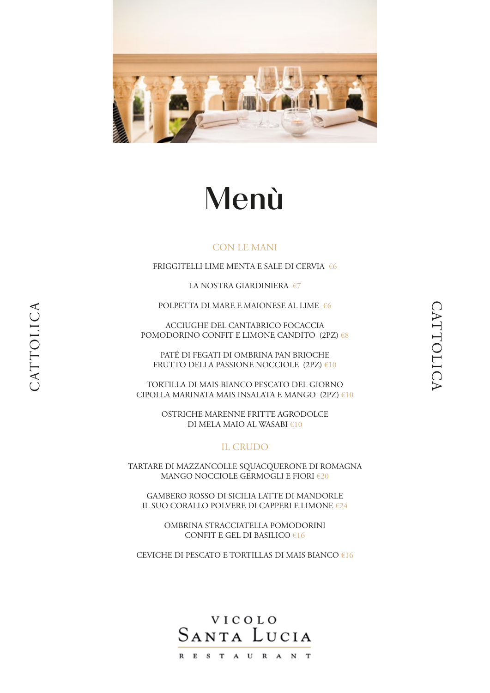

# Menù

# CON LE MANI

FRIGGITELLI LIME MENTA E SALE DI CERVIA €6

LA NOSTRA GIARDINIERA €7

POLPETTA DI MARE E MAIONESE AL LIME €6

ACCIUGHE DEL CANTABRICO FOCACCIA POMODORINO CONFIT E LIMONE CANDITO  $(2PZ) \in 8$ 

PATÉ DI FEGATI DI OMBRINA PAN BRIOCHE FRUTTO DELLA PASSIONE NOCCIOLE (2PZ) €10

CATTOLICA

CATTOLICA

TORTILLA DI MAIS BIANCO PESCATO DEL GIORNO CIPOLLA MARINATA MAIS INSALATA E MANGO (2PZ) €10

> OSTRICHE MARENNE FRITTE AGRODOLCE DI MELA MAIO AL WASABI €10

# IL CRUDO

TARTARE DI MAZZANCOLLE SQUACQUERONE DI ROMAGNA MANGO NOCCIOLE GERMOGLI E FIORI €20

GAMBERO ROSSO DI SICILIA LATTE DI MANDORLE IL SUO CORALLO POLVERE DI CAPPERI E LIMONE €24

> OMBRINA STRACCIATELLA POMODORINI CONFIT E GEL DI BASILICO  $616$

CEVICHE DI PESCATO E TORTILLAS DI MAIS BIANCO €16

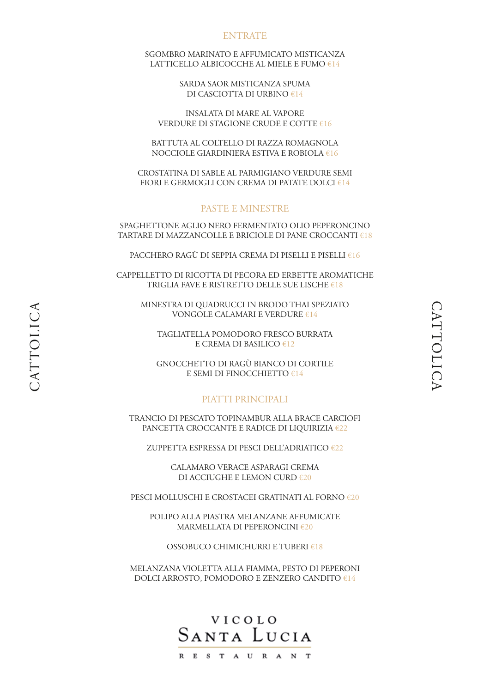### ENTRATE

SGOMBRO MARINATO E AFFUMICATO MISTICANZA LATTICELLO ALBICOCCHE AL MIELE E FUMO  $E14$ 

> SARDA SAOR MISTICANZA SPUMA DI CASCIOTTA DI URBINO €14

INSALATA DI MARE AL VAPORE VERDURE DI STAGIONE CRUDE E COTTE €16

BATTUTA AL COLTELLO DI RAZZA ROMAGNOLA NOCCIOLE GIARDINIERA ESTIVA E ROBIOLA €16

CROSTATINA DI SABLE AL PARMIGIANO VERDURE SEMI FIORI E GERMOGLI CON CREMA DI PATATE DOLCI €14

# PASTE E MINESTRE

SPAGHETTONE AGLIO NERO FERMENTATO OLIO PEPERONCINO TARTARE DI MAZZANCOLLE E BRICIOLE DI PANE CROCCANTI €18

PACCHERO RAGÙ DI SEPPIA CREMA DI PISELLI E PISELLI €16

CAPPELLETTO DI RICOTTA DI PECORA ED ERBETTE AROMATICHE TRIGLIA FAVE E RISTRETTO DELLE SUE LISCHE €18

MINESTRA DI QUADRUCCI IN BRODO THAI SPEZIATO VONGOLE CALAMARI E VERDURE €14

TAGLIATELLA POMODORO FRESCO BURRATA E CREMA DI BASILICO  $E12$ 

GNOCCHETTO DI RAGÙ BIANCO DI CORTILE E SEMI DI FINOCCHIETTO €14

## PIATTI PRINCIPALI

TRANCIO DI PESCATO TOPINAMBUR ALLA BRACE CARCIOFI PANCETTA CROCCANTE E RADICE DI LIQUIRIZIA €22

ZUPPETTA ESPRESSA DI PESCI DELL'ADRIATICO €22

CALAMARO VERACE ASPARAGI CREMA DI ACCIUGHE E LEMON CURD €20

PESCI MOLLUSCHI E CROSTACEI GRATINATI AL FORNO €20

POLIPO ALLA PIASTRA MELANZANE AFFUMICATE MARMELLATA DI PEPERONCINI €20

OSSOBUCO CHIMICHURRI E TUBERI €18

MELANZANA VIOLETTA ALLA FIAMMA, PESTO DI PEPERONI DOLCI ARROSTO, POMODORO E ZENZERO CANDITO €14

# VICOLO SANTA LUCIA RESTAURANT